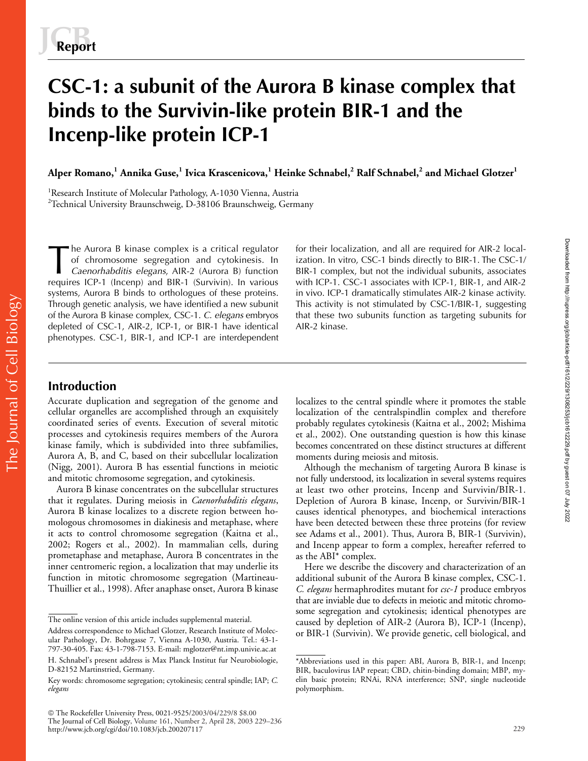# **CSC-1: a subunit of the Aurora B kinase complex that binds to the Survivin-like protein BIR-1 and the Incenp-like protein ICP-1**

**Alper Romano,<sup>1</sup> Annika Guse,<sup>1</sup> Ivica Krascenicova,<sup>1</sup> Heinke Schnabel,<sup>2</sup> Ralf Schnabel,<sup>2</sup> and Michael Glotzer<sup>1</sup>**

<sup>1</sup>Research Institute of Molecular Pathology, A-1030 Vienna, Austria  $^{2}$ Technical University Braunschweig, D-38106 Braunschweig, Germany

he Aurora B kinase complex is a critical regulator of chromosome segregation and cytokinesis. In *Caenorhabditis elegans*, AIR-2 (Aurora B) function requires ICP-1 (Incenp) and BIR-1 (Survivin). In various systems, Aurora B binds to orthologues of these proteins. Through genetic analysis, we have identified a new subunit of the Aurora B kinase complex, CSC-1. *C. elegans* embryos depleted of CSC-1, AIR-2, ICP-1, or BIR-1 have identical phenotypes. CSC-1, BIR-1, and ICP-1 are interdependent The Aurora B kinase complex is a critical regulator for their localization, and all are required for AIR-2 local-<br>of chromosome segregation and cytokinesis. In ization. In vitro, CSC-1 binds directly to BIR-1. The CSC-1/<br>C

ization. In vitro, CSC-1 binds directly to BIR-1. The CSC-1/ BIR-1 complex, but not the individual subunits, associates with ICP-1. CSC-1 associates with ICP-1, BIR-1, and AIR-2 in vivo. ICP-1 dramatically stimulates AIR-2 kinase activity. This activity is not stimulated by CSC-1/BIR-1, suggesting that these two subunits function as targeting subunits for AIR-2 kinase.

# **Introduction**

The Journal of Cell Biology

The Journal of Cell Biology

Accurate duplication and segregation of the genome and cellular organelles are accomplished through an exquisitely coordinated series of events. Execution of several mitotic processes and cytokinesis requires members of the Aurora kinase family, which is subdivided into three subfamilies, Aurora A, B, and C, based on their subcellular localization (Nigg, 2001). Aurora B has essential functions in meiotic and mitotic chromosome segregation, and cytokinesis.

Aurora B kinase concentrates on the subcellular structures that it regulates. During meiosis in *Caenorhabditis elegans*, Aurora B kinase localizes to a discrete region between homologous chromosomes in diakinesis and metaphase, where it acts to control chromosome segregation (Kaitna et al., 2002; Rogers et al., 2002). In mammalian cells, during prometaphase and metaphase, Aurora B concentrates in the inner centromeric region, a localization that may underlie its function in mitotic chromosome segregation (Martineau-Thuillier et al., 1998). After anaphase onset, Aurora B kinase localizes to the central spindle where it promotes the stable localization of the centralspindlin complex and therefore probably regulates cytokinesis (Kaitna et al., 2002; Mishima et al., 2002). One outstanding question is how this kinase becomes concentrated on these distinct structures at different moments during meiosis and mitosis.

Although the mechanism of targeting Aurora B kinase is not fully understood, its localization in several systems requires at least two other proteins, Incenp and Survivin/BIR-1. Depletion of Aurora B kinase, Incenp, or Survivin/BIR-1 causes identical phenotypes, and biochemical interactions have been detected between these three proteins (for review see Adams et al., 2001). Thus, Aurora B, BIR-1 (Survivin), and Incenp appear to form a complex, hereafter referred to as the ABI\* complex.

Here we describe the discovery and characterization of an additional subunit of the Aurora B kinase complex, CSC-1. *C. elegans* hermaphrodites mutant for *csc-1* produce embryos that are inviable due to defects in meiotic and mitotic chromosome segregation and cytokinesis; identical phenotypes are caused by depletion of AIR-2 (Aurora B), ICP-1 (Incenp), or BIR-1 (Survivin). We provide genetic, cell biological, and

The online version of this article includes supplemental material.

Address correspondence to Michael Glotzer, Research Institute of Molecular Pathology, Dr. Bohrgasse 7, Vienna A-1030, Austria. Tel.: 43-1- 797-30-405. Fax: 43-1-798-7153. E-mail: mglotzer@nt.imp.univie.ac.at

H. Schnabel's present address is Max Planck Institut fur Neurobiologie, D-82152 Martinstried, Germany.

Key words: chromosome segregation; cytokinesis; central spindle; IAP; *C. elegans*

The Rockefeller University Press, 0021-9525/2003/04/229/8 \$8.00 The Journal of Cell Biology, Volume 161, Number 2, April 28, 2003 229–236 http://www.jcb.org/cgi/doi/10.1083/jcb.200207117 229

<sup>\*</sup>Abbreviations used in this paper: ABI, Aurora B, BIR-1, and Incenp; BIR, baculovirus IAP repeat; CBD, chitin-binding domain; MBP, myelin basic protein; RNAi, RNA interference; SNP, single nucleotide polymorphism.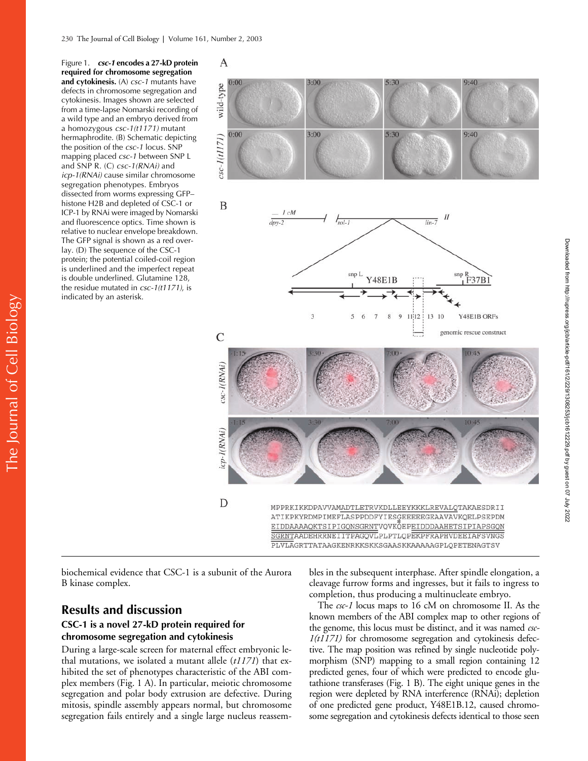Figure 1. *csc-1* **encodes a 27-kD protein required for chromosome segregation and cytokinesis.** (A) *csc-1* mutants have defects in chromosome segregation and cytokinesis. Images shown are selected from a time-lapse Nomarski recording of a wild type and an embryo derived from a homozygous *csc-1(t1171)* mutant hermaphrodite. (B) Schematic depicting the position of the *csc-1* locus. SNP mapping placed *csc-1* between SNP L and SNP R. (C) *csc-1(RNAi)* and *icp-1(RNAi)* cause similar chromosome segregation phenotypes. Embryos dissected from worms expressing GFP– histone H2B and depleted of CSC-1 or ICP-1 by RNAi were imaged by Nomarski and fluorescence optics. Time shown is relative to nuclear envelope breakdown. The GFP signal is shown as a red overlay. (D) The sequence of the CSC-1 protein; the potential coiled-coil region is underlined and the imperfect repeat is double underlined. Glutamine 128, the residue mutated in *csc-1(t1171)*, is indicated by an asterisk.



ATIKPKYRDMPIMEFLASPPDDFYIESGEEEEEGEAAVAVKQELPSEPDM EIDDAAAAQKTSIPIGQNSGRNTVQVKQEPEIDDDAAHETSIPIAPSGQN SGRNTAADEHRRNEIITPAGQVLPLPTLQPEKPFRAPHVDEEIAFSVNGS PLVLAGRTTATAAGKENRKKSKKSGAASKKAAAAAGPLQPETENAGTSV

biochemical evidence that CSC-1 is a subunit of the Aurora B kinase complex.

# **Results and discussion**

# **CSC-1 is a novel 27-kD protein required for chromosome segregation and cytokinesis**

During a large-scale screen for maternal effect embryonic lethal mutations, we isolated a mutant allele (*t1171*) that exhibited the set of phenotypes characteristic of the ABI complex members (Fig. 1 A). In particular, meiotic chromosome segregation and polar body extrusion are defective. During mitosis, spindle assembly appears normal, but chromosome segregation fails entirely and a single large nucleus reassembles in the subsequent interphase. After spindle elongation, a cleavage furrow forms and ingresses, but it fails to ingress to completion, thus producing a multinucleate embryo.

The *csc-1* locus maps to 16 cM on chromosome II. As the known members of the ABI complex map to other regions of the genome, this locus must be distinct, and it was named *csc-1(t1171)* for chromosome segregation and cytokinesis defective. The map position was refined by single nucleotide polymorphism (SNP) mapping to a small region containing 12 predicted genes, four of which were predicted to encode glutathione transferases (Fig. 1 B). The eight unique genes in the region were depleted by RNA interference (RNAi); depletion of one predicted gene product, Y48E1B.12, caused chromosome segregation and cytokinesis defects identical to those seen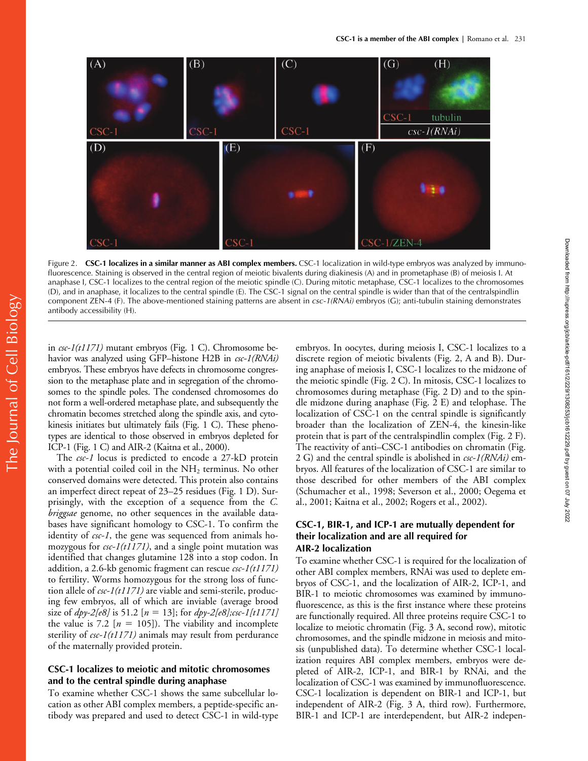

Figure 2. **CSC-1 localizes in a similar manner as ABI complex members.** CSC-1 localization in wild-type embryos was analyzed by immunofluorescence. Staining is observed in the central region of meiotic bivalents during diakinesis (A) and in prometaphase (B) of meiosis I. At anaphase I, CSC-1 localizes to the central region of the meiotic spindle (C). During mitotic metaphase, CSC-1 localizes to the chromosomes (D), and in anaphase, it localizes to the central spindle (E). The CSC-1 signal on the central spindle is wider than that of the centralspindlin component ZEN-4 (F). The above-mentioned staining patterns are absent in *csc-1(RNAi)* embryos (G); anti-tubulin staining demonstrates antibody accessibility (H).

in *csc-1(t1171)* mutant embryos (Fig. 1 C). Chromosome behavior was analyzed using GFP–histone H2B in *csc-1(RNAi)* embryos. These embryos have defects in chromosome congression to the metaphase plate and in segregation of the chromosomes to the spindle poles. The condensed chromosomes do not form a well-ordered metaphase plate, and subsequently the chromatin becomes stretched along the spindle axis, and cytokinesis initiates but ultimately fails (Fig. 1 C). These phenotypes are identical to those observed in embryos depleted for ICP-1 (Fig. 1 C) and AIR-2 (Kaitna et al., 2000).

The *csc-1* locus is predicted to encode a 27-kD protein with a potential coiled coil in the  $NH<sub>2</sub>$  terminus. No other conserved domains were detected. This protein also contains an imperfect direct repeat of 23–25 residues (Fig. 1 D). Surprisingly, with the exception of a sequence from the *C. briggsae* genome, no other sequences in the available databases have significant homology to CSC-1. To confirm the identity of *csc-1*, the gene was sequenced from animals homozygous for *csc-1(t1171)*, and a single point mutation was identified that changes glutamine 128 into a stop codon. In addition, a 2.6-kb genomic fragment can rescue *csc-1(t1171)* to fertility. Worms homozygous for the strong loss of function allele of *csc-1(t1171)* are viable and semi-sterile, producing few embryos, all of which are inviable (average brood size of *dpy-2[e8]* is 51.2 [*n* - 13]; for *dpy-2[e8];csc-1[t1171]* the value is 7.2  $[n = 105]$ ). The viability and incomplete sterility of *csc-1(t1171)* animals may result from perdurance of the maternally provided protein.

# **CSC-1 localizes to meiotic and mitotic chromosomes and to the central spindle during anaphase**

To examine whether CSC-1 shows the same subcellular location as other ABI complex members, a peptide-specific antibody was prepared and used to detect CSC-1 in wild-type embryos. In oocytes, during meiosis I, CSC-1 localizes to a discrete region of meiotic bivalents (Fig. 2, A and B). During anaphase of meiosis I, CSC-1 localizes to the midzone of the meiotic spindle (Fig. 2 C). In mitosis, CSC-1 localizes to chromosomes during metaphase (Fig. 2 D) and to the spindle midzone during anaphase (Fig. 2 E) and telophase. The localization of CSC-1 on the central spindle is significantly broader than the localization of ZEN-4, the kinesin-like protein that is part of the centralspindlin complex (Fig. 2 F). The reactivity of anti–CSC-1 antibodies on chromatin (Fig. 2 G) and the central spindle is abolished in *csc-1(RNAi)* embryos. All features of the localization of CSC-1 are similar to those described for other members of the ABI complex (Schumacher et al., 1998; Severson et al., 2000; Oegema et al., 2001; Kaitna et al., 2002; Rogers et al., 2002).

# **CSC-1, BIR-1, and ICP-1 are mutually dependent for their localization and are all required for AIR-2 localization**

To examine whether CSC-1 is required for the localization of other ABI complex members, RNAi was used to deplete embryos of CSC-1, and the localization of AIR-2, ICP-1, and BIR-1 to meiotic chromosomes was examined by immunofluorescence, as this is the first instance where these proteins are functionally required. All three proteins require CSC-1 to localize to meiotic chromatin (Fig. 3 A, second row), mitotic chromosomes, and the spindle midzone in meiosis and mitosis (unpublished data). To determine whether CSC-1 localization requires ABI complex members, embryos were depleted of AIR-2, ICP-1, and BIR-1 by RNAi, and the localization of CSC-1 was examined by immunofluorescence. CSC-1 localization is dependent on BIR-1 and ICP-1, but independent of AIR-2 (Fig. 3 A, third row). Furthermore, BIR-1 and ICP-1 are interdependent, but AIR-2 indepen-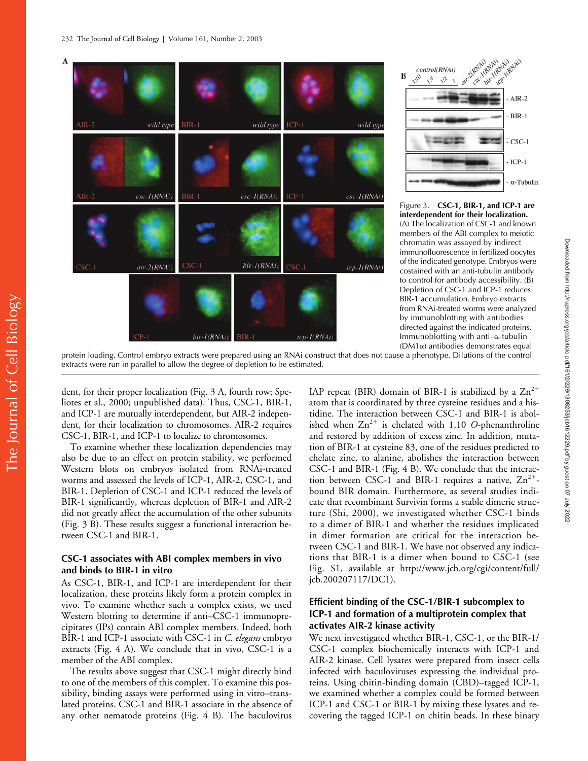



Figure 3. **CSC-1, BIR-1, and ICP-1 are interdependent for their localization.** (A) The localization of CSC-1 and known members of the ABI complex to meiotic chromatin was assayed by indirect immunofluorescence in fertilized oocytes of the indicated genotype. Embryos were costained with an anti-tubulin antibody to control for antibody accessibility. (B) Depletion of CSC-1 and ICP-1 reduces BIR-1 accumulation. Embryo extracts from RNAi-treated worms were analyzed by immunoblotting with antibodies directed against the indicated proteins. Immunoblotting with anti- $\alpha$ -tubulin  $(DM1\alpha)$  antibodies demonstrates equal

protein loading. Control embryo extracts were prepared using an RNAi construct that does not cause a phenotype. Dilutions of the control extracts were run in parallel to allow the degree of depletion to be estimated.

dent, for their proper localization (Fig. 3 A, fourth row; Speliotes et al., 2000; unpublished data). Thus, CSC-1, BIR-1, and ICP-1 are mutually interdependent, but AIR-2 independent, for their localization to chromosomes. AIR-2 requires CSC-1, BIR-1, and ICP-1 to localize to chromosomes.

To examine whether these localization dependencies may also be due to an effect on protein stability, we performed Western blots on embryos isolated from RNAi-treated worms and assessed the levels of ICP-1, AIR-2, CSC-1, and BIR-1. Depletion of CSC-1 and ICP-1 reduced the levels of BIR-1 significantly, whereas depletion of BIR-1 and AIR-2 did not greatly affect the accumulation of the other subunits (Fig. 3 B). These results suggest a functional interaction between CSC-1 and BIR-1.

### **CSC-1 associates with ABI complex members in vivo and binds to BIR-1 in vitro**

As CSC-1, BIR-1, and ICP-1 are interdependent for their localization, these proteins likely form a protein complex in vivo. To examine whether such a complex exists, we used Western blotting to determine if anti–CSC-1 immunoprecipitates (IPs) contain ABI complex members. Indeed, both BIR-1 and ICP-1 associate with CSC-1 in *C. elegans* embryo extracts (Fig. 4 A). We conclude that in vivo, CSC-1 is a member of the ABI complex.

The results above suggest that CSC-1 might directly bind to one of the members of this complex. To examine this possibility, binding assays were performed using in vitro–translated proteins. CSC-1 and BIR-1 associate in the absence of any other nematode proteins (Fig. 4 B). The baculovirus

IAP repeat (BIR) domain of BIR-1 is stabilized by a  $\text{Zn}^{2+}$ atom that is coordinated by three cysteine residues and a histidine. The interaction between CSC-1 and BIR-1 is abolished when  $Zn^{2+}$  is chelated with 1,10 *O*-phenanthroline and restored by addition of excess zinc. In addition, mutation of BIR-1 at cysteine 83, one of the residues predicted to chelate zinc, to alanine, abolishes the interaction between CSC-1 and BIR-1 (Fig. 4 B). We conclude that the interaction between CSC-1 and BIR-1 requires a native,  $Zn^{2+}$ bound BIR domain. Furthermore, as several studies indicate that recombinant Survivin forms a stable dimeric structure (Shi, 2000), we investigated whether CSC-1 binds to a dimer of BIR-1 and whether the residues implicated in dimer formation are critical for the interaction between CSC-1 and BIR-1. We have not observed any indications that BIR-1 is a dimer when bound to CSC-1 (see Fig. S1, available at http://www.jcb.org/cgi/content/full/ jcb.200207117/DC1).

# **Efficient binding of the CSC-1/BIR-1 subcomplex to ICP-1 and formation of a multiprotein complex that activates AIR-2 kinase activity**

We next investigated whether BIR-1, CSC-1, or the BIR-1/ CSC-1 complex biochemically interacts with ICP-1 and AIR-2 kinase. Cell lysates were prepared from insect cells infected with baculoviruses expressing the individual proteins. Using chitin-binding domain (CBD)–tagged ICP-1, we examined whether a complex could be formed between ICP-1 and CSC-1 or BIR-1 by mixing these lysates and recovering the tagged ICP-1 on chitin beads. In these binary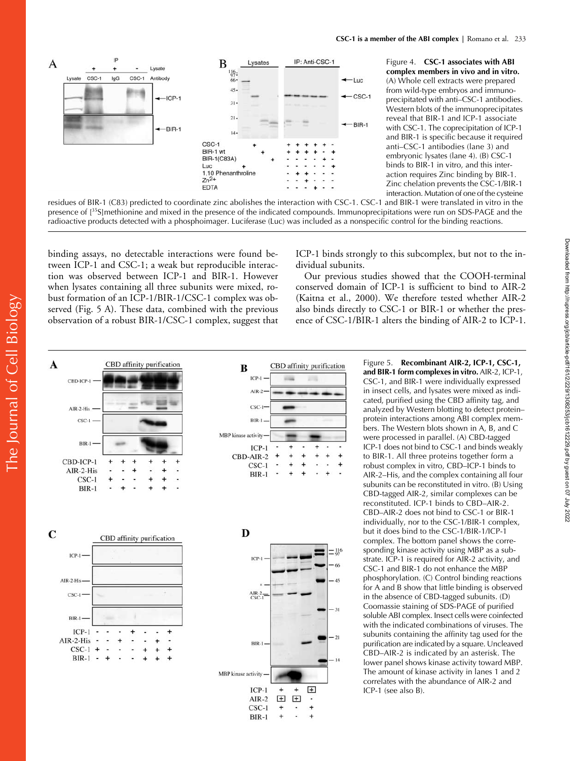

Figure 4. **CSC-1 associates with ABI complex members in vivo and in vitro.** (A) Whole cell extracts were prepared from wild-type embryos and immunoprecipitated with anti–CSC-1 antibodies. Western blots of the immunoprecipitates reveal that BIR-1 and ICP-1 associate with CSC-1. The coprecipitation of ICP-1 and BIR-1 is specific because it required anti–CSC-1 antibodies (lane 3) and embryonic lysates (lane 4). (B) CSC-1 binds to BIR-1 in vitro, and this interaction requires Zinc binding by BIR-1. Zinc chelation prevents the CSC-1/BIR-1 interaction. Mutation of one of the cysteine

residues of BIR-1 (C83) predicted to coordinate zinc abolishes the interaction with CSC-1. CSC-1 and BIR-1 were translated in vitro in the presence of [<sup>35</sup>S]methionine and mixed in the presence of the indicated compounds. Immunoprecipitations were run on SDS-PAGE and the radioactive products detected with a phosphoimager. Luciferase (Luc) was included as a nonspecific control for the binding reactions.

binding assays, no detectable interactions were found between ICP-1 and CSC-1; a weak but reproducible interaction was observed between ICP-1 and BIR-1. However when lysates containing all three subunits were mixed, robust formation of an ICP-1/BIR-1/CSC-1 complex was observed (Fig. 5 A). These data, combined with the previous observation of a robust BIR-1/CSC-1 complex, suggest that

ICP-1 binds strongly to this subcomplex, but not to the individual subunits.

Our previous studies showed that the COOH-terminal conserved domain of ICP-1 is sufficient to bind to AIR-2 (Kaitna et al., 2000). We therefore tested whether AIR-2 also binds directly to CSC-1 or BIR-1 or whether the presence of CSC-1/BIR-1 alters the binding of AIR-2 to ICP-1.



Figure 5. **Recombinant AIR-2, ICP-1, CSC-1, and BIR-1 form complexes in vitro.** AIR-2, ICP-1, CSC-1, and BIR-1 were individually expressed in insect cells, and lysates were mixed as indicated, purified using the CBD affinity tag, and analyzed by Western blotting to detect protein– protein interactions among ABI complex members. The Western blots shown in A, B, and C were processed in parallel. (A) CBD-tagged ICP-1 does not bind to CSC-1 and binds weakly to BIR-1. All three proteins together form a robust complex in vitro, CBD–ICP-1 binds to AIR-2–His, and the complex containing all four subunits can be reconstituted in vitro. (B) Using CBD-tagged AIR-2, similar complexes can be reconstituted. ICP-1 binds to CBD–AIR-2. CBD–AIR-2 does not bind to CSC-1 or BIR-1 individually, nor to the CSC-1/BIR-1 complex, but it does bind to the CSC-1/BIR-1/ICP-1 complex. The bottom panel shows the corresponding kinase activity using MBP as a substrate. ICP-1 is required for AIR-2 activity, and CSC-1 and BIR-1 do not enhance the MBP phosphorylation. (C) Control binding reactions for A and B show that little binding is observed in the absence of CBD-tagged subunits. (D) Coomassie staining of SDS-PAGE of purified soluble ABI complex. Insect cells were coinfected with the indicated combinations of viruses. The subunits containing the affinity tag used for the purification are indicated by a square. Uncleaved CBD–AIR-2 is indicated by an asterisk. The lower panel shows kinase activity toward MBP. The amount of kinase activity in lanes 1 and 2 correlates with the abundance of AIR-2 and ICP-1 (see also B).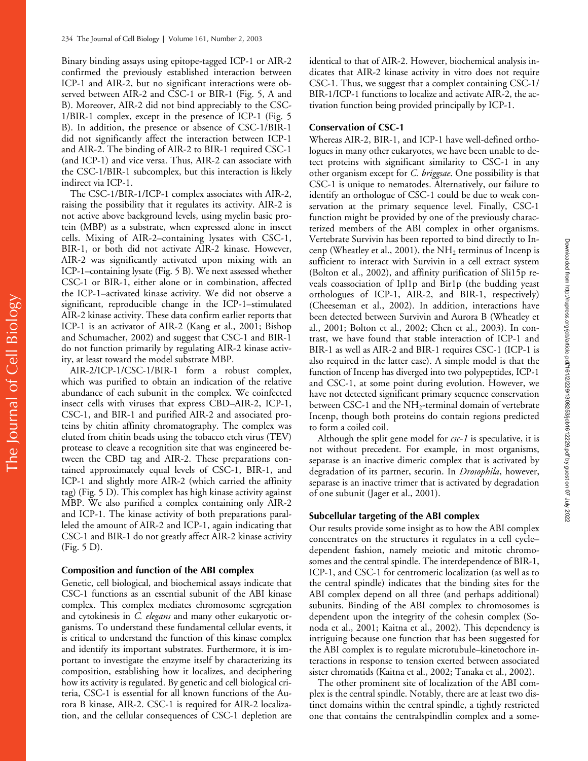Binary binding assays using epitope-tagged ICP-1 or AIR-2 confirmed the previously established interaction between ICP-1 and AIR-2, but no significant interactions were observed between AIR-2 and CSC-1 or BIR-1 (Fig. 5, A and B). Moreover, AIR-2 did not bind appreciably to the CSC-1/BIR-1 complex, except in the presence of ICP-1 (Fig. 5 B). In addition, the presence or absence of CSC-1/BIR-1 did not significantly affect the interaction between ICP-1 and AIR-2. The binding of AIR-2 to BIR-1 required CSC-1 (and ICP-1) and vice versa. Thus, AIR-2 can associate with the CSC-1/BIR-1 subcomplex, but this interaction is likely indirect via ICP-1.

The CSC-1/BIR-1/ICP-1 complex associates with AIR-2, raising the possibility that it regulates its activity. AIR-2 is not active above background levels, using myelin basic protein (MBP) as a substrate, when expressed alone in insect cells. Mixing of AIR-2–containing lysates with CSC-1, BIR-1, or both did not activate AIR-2 kinase. However, AIR-2 was significantly activated upon mixing with an ICP-1–containing lysate (Fig. 5 B). We next assessed whether CSC-1 or BIR-1, either alone or in combination, affected the ICP-1–activated kinase activity. We did not observe a significant, reproducible change in the ICP-1–stimulated AIR-2 kinase activity. These data confirm earlier reports that ICP-1 is an activator of AIR-2 (Kang et al., 2001; Bishop and Schumacher, 2002) and suggest that CSC-1 and BIR-1 do not function primarily by regulating AIR-2 kinase activity, at least toward the model substrate MBP.

AIR-2/ICP-1/CSC-1/BIR-1 form a robust complex, which was purified to obtain an indication of the relative abundance of each subunit in the complex. We coinfected insect cells with viruses that express CBD–AIR-2, ICP-1, CSC-1, and BIR-1 and purified AIR-2 and associated proteins by chitin affinity chromatography. The complex was eluted from chitin beads using the tobacco etch virus (TEV) protease to cleave a recognition site that was engineered between the CBD tag and AIR-2. These preparations contained approximately equal levels of CSC-1, BIR-1, and ICP-1 and slightly more AIR-2 (which carried the affinity tag) (Fig. 5 D). This complex has high kinase activity against MBP. We also purified a complex containing only AIR-2 and ICP-1. The kinase activity of both preparations paralleled the amount of AIR-2 and ICP-1, again indicating that CSC-1 and BIR-1 do not greatly affect AIR-2 kinase activity (Fig. 5 D).

### **Composition and function of the ABI complex**

Genetic, cell biological, and biochemical assays indicate that CSC-1 functions as an essential subunit of the ABI kinase complex. This complex mediates chromosome segregation and cytokinesis in *C. elegans* and many other eukaryotic organisms. To understand these fundamental cellular events, it is critical to understand the function of this kinase complex and identify its important substrates. Furthermore, it is important to investigate the enzyme itself by characterizing its composition, establishing how it localizes, and deciphering how its activity is regulated. By genetic and cell biological criteria, CSC-1 is essential for all known functions of the Aurora B kinase, AIR-2. CSC-1 is required for AIR-2 localization, and the cellular consequences of CSC-1 depletion are

identical to that of AIR-2. However, biochemical analysis indicates that AIR-2 kinase activity in vitro does not require CSC-1. Thus, we suggest that a complex containing CSC-1/ BIR-1/ICP-1 functions to localize and activate AIR-2, the activation function being provided principally by ICP-1.

### **Conservation of CSC-1**

Whereas AIR-2, BIR-1, and ICP-1 have well-defined orthologues in many other eukaryotes, we have been unable to detect proteins with significant similarity to CSC-1 in any other organism except for *C. briggsae*. One possibility is that CSC-1 is unique to nematodes. Alternatively, our failure to identify an orthologue of CSC-1 could be due to weak conservation at the primary sequence level. Finally, CSC-1 function might be provided by one of the previously characterized members of the ABI complex in other organisms. Vertebrate Survivin has been reported to bind directly to Incenp (Wheatley et al., 2001), the  $NH<sub>2</sub>$  terminus of Incenp is sufficient to interact with Survivin in a cell extract system (Bolton et al., 2002), and affinity purification of Sli15p reveals coassociation of Ipl1p and Bir1p (the budding yeast orthologues of ICP-1, AIR-2, and BIR-1, respectively) (Cheeseman et al., 2002). In addition, interactions have been detected between Survivin and Aurora B (Wheatley et al., 2001; Bolton et al., 2002; Chen et al., 2003). In contrast, we have found that stable interaction of ICP-1 and BIR-1 as well as AIR-2 and BIR-1 requires CSC-1 (ICP-1 is also required in the latter case). A simple model is that the function of Incenp has diverged into two polypeptides, ICP-1 and CSC-1, at some point during evolution. However, we have not detected significant primary sequence conservation between CSC-1 and the NH<sub>2</sub>-terminal domain of vertebrate Incenp, though both proteins do contain regions predicted to form a coiled coil.

Although the split gene model for *csc-1* is speculative, it is not without precedent. For example, in most organisms, separase is an inactive dimeric complex that is activated by degradation of its partner, securin. In *Drosophila*, however, separase is an inactive trimer that is activated by degradation of one subunit (Jager et al., 2001).

### **Subcellular targeting of the ABI complex**

Our results provide some insight as to how the ABI complex concentrates on the structures it regulates in a cell cycle– dependent fashion, namely meiotic and mitotic chromosomes and the central spindle. The interdependence of BIR-1, ICP-1, and CSC-1 for centromeric localization (as well as to the central spindle) indicates that the binding sites for the ABI complex depend on all three (and perhaps additional) subunits. Binding of the ABI complex to chromosomes is dependent upon the integrity of the cohesin complex (Sonoda et al., 2001; Kaitna et al., 2002). This dependency is intriguing because one function that has been suggested for the ABI complex is to regulate microtubule–kinetochore interactions in response to tension exerted between associated sister chromatids (Kaitna et al., 2002; Tanaka et al., 2002).

The other prominent site of localization of the ABI complex is the central spindle. Notably, there are at least two distinct domains within the central spindle, a tightly restricted one that contains the centralspindlin complex and a some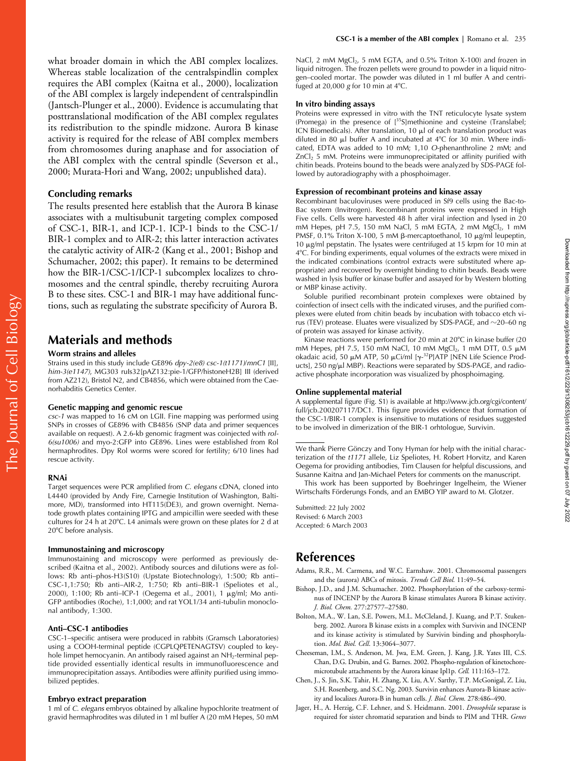what broader domain in which the ABI complex localizes. Whereas stable localization of the centralspindlin complex requires the ABI complex (Kaitna et al., 2000), localization of the ABI complex is largely independent of centralspindlin (Jantsch-Plunger et al., 2000). Evidence is accumulating that posttranslational modification of the ABI complex regulates its redistribution to the spindle midzone. Aurora B kinase activity is required for the release of ABI complex members from chromosomes during anaphase and for association of the ABI complex with the central spindle (Severson et al., 2000; Murata-Hori and Wang, 2002; unpublished data).

### **Concluding remarks**

The results presented here establish that the Aurora B kinase associates with a multisubunit targeting complex composed of CSC-1, BIR-1, and ICP-1. ICP-1 binds to the CSC-1/ BIR-1 complex and to AIR-2; this latter interaction activates the catalytic activity of AIR-2 (Kang et al., 2001; Bishop and Schumacher, 2002; this paper). It remains to be determined how the BIR-1/CSC-1/ICP-1 subcomplex localizes to chromosomes and the central spindle, thereby recruiting Aurora B to these sites. CSC-1 and BIR-1 may have additional functions, such as regulating the substrate specificity of Aurora B.

# **Materials and methods**

### **Worm strains and alleles**

Strains used in this study include GE896 *dpy-2(e8) csc-1(t1171)*/*mnC1* [II], *him-3(e1147)*, MG303 ruIs32[pAZ132:pie-1/GFP/histoneH2B] III (derived from AZ212), Bristol N2, and CB4856, which were obtained from the Caenorhabditis Genetics Center.

#### **Genetic mapping and genomic rescue**

*csc-1* was mapped to 16 cM on LGII. Fine mapping was performed using SNPs in crosses of GE896 with CB4856 (SNP data and primer sequences available on request). A 2.6-kb genomic fragment was coinjected with *rol-6(su1006)* and myo-2:GFP into GE896. Lines were established from Rol hermaphrodites. Dpy Rol worms were scored for fertility; 6/10 lines had rescue activity.

#### **RNAi**

The Journal of Cell Biology

The Journal of Cell Biology

Target sequences were PCR amplified from *C. elegans* cDNA, cloned into L4440 (provided by Andy Fire, Carnegie Institution of Washington, Baltimore, MD), transformed into HT115(DE3), and grown overnight. Nematode growth plates containing IPTG and ampicillin were seeded with these cultures for 24 h at 20°C. L4 animals were grown on these plates for 2 d at 20C before analysis.

#### **Immunostaining and microscopy**

Immunostaining and microscopy were performed as previously described (Kaitna et al., 2002). Antibody sources and dilutions were as follows: Rb anti–phos-H3(S10) (Upstate Biotechnology), 1:500; Rb anti– CSC-1,1:750; Rb anti–AIR-2, 1:750; Rb anti–BIR-1 (Speliotes et al., 2000), 1:100; Rb anti-ICP-1 (Oegema et al., 2001), 1 μg/ml; Mo anti-GFP antibodies (Roche), 1:1,000; and rat YOL1/34 anti-tubulin monoclonal antibody, 1:300.

### **Anti–CSC-1 antibodies**

CSC-1–specific antisera were produced in rabbits (Gramsch Laboratories) using a COOH-terminal peptide (CGPLQPETENAGTSV) coupled to keyhole limpet hemocyanin. An antibody raised against an NH<sub>2</sub>-terminal peptide provided essentially identical results in immunofluorescence and immunoprecipitation assays. Antibodies were affinity purified using immobilized peptides.

#### **Embryo extract preparation**

1 ml of *C. elegans* embryos obtained by alkaline hypochlorite treatment of gravid hermaphrodites was diluted in 1 ml buffer A (20 mM Hepes, 50 mM NaCl, 2 mM  $MgCl<sub>2</sub>$ , 5 mM EGTA, and 0.5% Triton X-100) and frozen in liquid nitrogen. The frozen pellets were ground to powder in a liquid nitrogen–cooled mortar. The powder was diluted in 1 ml buffer A and centrifuged at  $20,000$  g for 10 min at  $4^{\circ}$ C.

### **In vitro binding assays**

Proteins were expressed in vitro with the TNT reticulocyte lysate system (Promega) in the presence of [<sup>35</sup>S]methionine and cysteine (Translabel; ICN Biomedicals). After translation,  $10 \mu$  of each translation product was diluted in 80  $\mu$ l buffer A and incubated at 4°C for 30 min. Where indicated, EDTA was added to 10 mM; 1,10 *O*-phenanthroline 2 mM; and  $ZnCl<sub>2</sub>$  5 mM. Proteins were immunoprecipitated or affinity purified with chitin beads. Proteins bound to the beads were analyzed by SDS-PAGE followed by autoradiography with a phosphoimager.

#### **Expression of recombinant proteins and kinase assay**

Recombinant baculoviruses were produced in Sf9 cells using the Bac-to-Bac system (Invitrogen). Recombinant proteins were expressed in High Five cells. Cells were harvested 48 h after viral infection and lysed in 20 mM Hepes, pH 7.5, 150 mM NaCl, 5 mM EGTA, 2 mM MgCl<sub>2</sub>, 1 mM PMSF,  $0.1\%$  Triton X-100, 5 mM  $\beta$ -mercaptoethanol, 10  $\mu$ g/ml leupeptin, 10  $\mu$ g/ml pepstatin. The lysates were centrifuged at 15 krpm for 10 min at 4C. For binding experiments, equal volumes of the extracts were mixed in the indicated combinations (control extracts were substituted where appropriate) and recovered by overnight binding to chitin beads. Beads were washed in lysis buffer or kinase buffer and assayed for by Western blotting or MBP kinase activity.

Soluble purified recombinant protein complexes were obtained by coinfection of insect cells with the indicated viruses, and the purified complexes were eluted from chitin beads by incubation with tobacco etch virus (TEV) protease. Eluates were visualized by SDS-PAGE, and  $\sim$ 20–60 ng of protein was assayed for kinase activity.

Kinase reactions were performed for 20 min at 20°C in kinase buffer (20 mM Hepes, pH 7.5, 150 mM NaCl, 10 mM MgCl<sub>2</sub>, 1 mM DTT, 0.5  $\mu$ M okadaic acid, 50 μM ATP, 50 μCi/ml [γ-<sup>32</sup>P]ATP [NEN Life Science Products], 250 ng/µl MBP). Reactions were separated by SDS-PAGE, and radioactive phosphate incorporation was visualized by phosphoimaging.

### **Online supplemental material**

A supplemental figure (Fig. S1) is available at http://www.jcb.org/cgi/content/ full/jcb.200207117/DC1. This figure provides evidence that formation of the CSC-1/BIR-1 complex is insensitive to mutations of residues suggested to be involved in dimerization of the BIR-1 orhtologue, Survivin.

We thank Pierre Gönczy and Tony Hyman for help with the initial characterization of the *t1171* allele, Liz Speliotes, H. Robert Horvitz, and Karen Oegema for providing antibodies, Tim Clausen for helpful discussions, and Susanne Kaitna and Jan-Michael Peters for comments on the manuscript.

This work has been supported by Boehringer Ingelheim, the Wiener Wirtschafts Förderungs Fonds, and an EMBO YIP award to M. Glotzer.

Submitted: 22 July 2002 Revised: 6 March 2003 Accepted: 6 March 2003

# **References**

- Adams, R.R., M. Carmena, and W.C. Earnshaw. 2001. Chromosomal passengers and the (aurora) ABCs of mitosis. *Trends Cell Biol.* 11:49–54.
- Bishop, J.D., and J.M. Schumacher. 2002. Phosphorylation of the carboxy-terminus of INCENP by the Aurora B kinase stimulates Aurora B kinase activity. *J. Biol. Chem.* 277:27577–27580.
- Bolton, M.A., W. Lan, S.E. Powers, M.L. McCleland, J. Kuang, and P.T. Stukenberg. 2002. Aurora B kinase exists in a complex with Survivin and INCENP and its kinase activity is stimulated by Survivin binding and phosphorylation. *Mol. Biol. Cell*. 13:3064–3077.
- Cheeseman, I.M., S. Anderson, M. Jwa, E.M. Green, J. Kang, J.R. Yates III, C.S. Chan, D.G. Drubin, and G. Barnes. 2002. Phospho-regulation of kinetochoremicrotubule attachments by the Aurora kinase Ipl1p. *Cell.* 111:163–172.
- Chen, J., S. Jin, S.K. Tahir, H. Zhang, X. Liu, A.V. Sarthy, T.P. McGonigal, Z. Liu, S.H. Rosenberg, and S.C. Ng. 2003. Survivin enhances Aurora-B kinase activity and localizes Aurora-B in human cells. *J. Biol. Chem.* 278:486–490.
- Jager, H., A. Herzig, C.F. Lehner, and S. Heidmann. 2001. *Drosophila* separase is required for sister chromatid separation and binds to PIM and THR. *Genes*